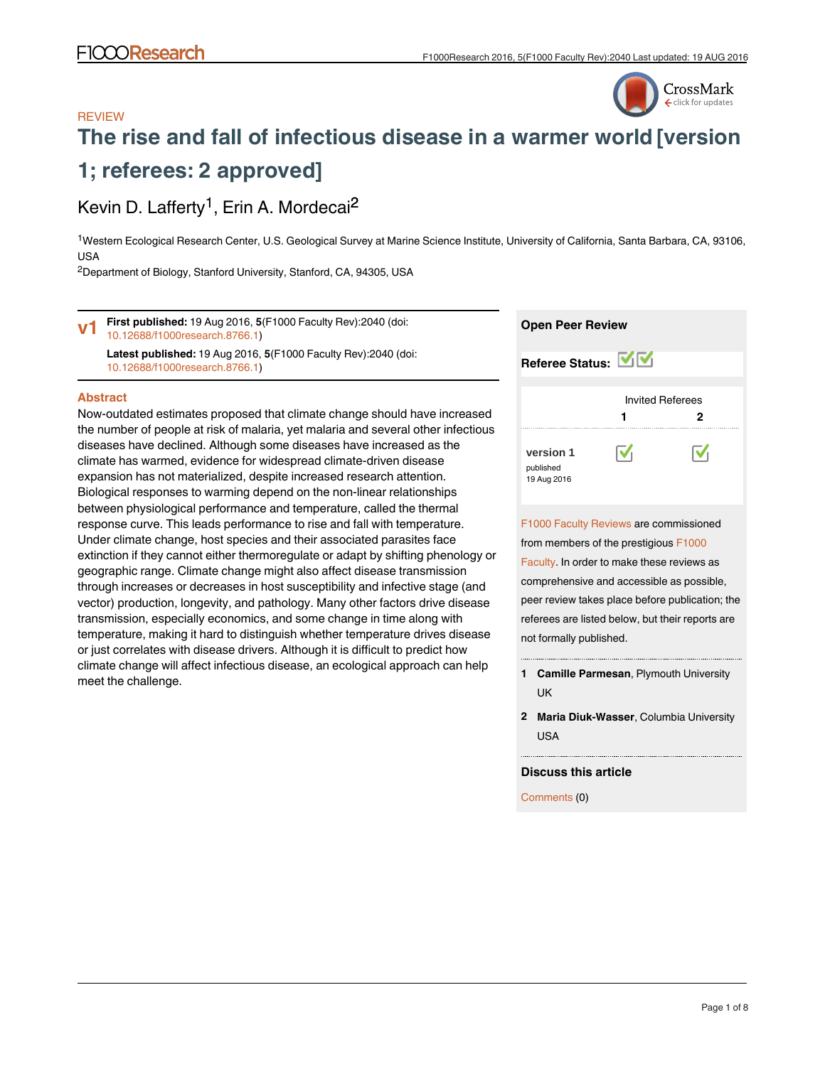

## **REVIEW [The rise and fall of infectious disease in a warmer world](http://f1000research.com/articles/5-2040/v1) [version 1; referees: 2 approved]**

## Kevin D. Lafferty<sup>1</sup>, Erin A. Mordecai<sup>2</sup>

<sup>1</sup>Western Ecological Research Center, U.S. Geological Survey at Marine Science Institute, University of California, Santa Barbara, CA, 93106, USA

<sup>2</sup>Department of Biology, Stanford University, Stanford, CA, 94305, USA

**First published:** 19 Aug 2016, **5**(F1000 Faculty Rev):2040 (doi: [10.12688/f1000research.8766.1](http://dx.doi.org/10.12688/f1000research.8766.1)) **v1**

**Latest published:** 19 Aug 2016, **5**(F1000 Faculty Rev):2040 (doi: [10.12688/f1000research.8766.1](http://dx.doi.org/10.12688/f1000research.8766.1))

#### **Abstract**

Now-outdated estimates proposed that climate change should have increased the number of people at risk of malaria, yet malaria and several other infectious diseases have declined. Although some diseases have increased as the climate has warmed, evidence for widespread climate-driven disease expansion has not materialized, despite increased research attention. Biological responses to warming depend on the non-linear relationships between physiological performance and temperature, called the thermal response curve. This leads performance to rise and fall with temperature. Under climate change, host species and their associated parasites face extinction if they cannot either thermoregulate or adapt by shifting phenology or geographic range. Climate change might also affect disease transmission through increases or decreases in host susceptibility and infective stage (and vector) production, longevity, and pathology. Many other factors drive disease transmission, especially economics, and some change in time along with temperature, making it hard to distinguish whether temperature drives disease or just correlates with disease drivers. Although it is difficult to predict how climate change will affect infectious disease, an ecological approach can help meet the challenge.

| <b>Open Peer Review</b>                                                                                                                                                                                                                                                                                      |  |
|--------------------------------------------------------------------------------------------------------------------------------------------------------------------------------------------------------------------------------------------------------------------------------------------------------------|--|
| Referee Status: VV                                                                                                                                                                                                                                                                                           |  |
| <b>Invited Referees</b><br>1<br>2                                                                                                                                                                                                                                                                            |  |
| version 1<br>published<br>19 Aug 2016                                                                                                                                                                                                                                                                        |  |
| F1000 Faculty Reviews are commissioned<br>from members of the prestigious F1000<br>Faculty. In order to make these reviews as<br>comprehensive and accessible as possible,<br>peer review takes place before publication; the<br>referees are listed below, but their reports are<br>not formally published. |  |
| Camille Parmesan, Plymouth University<br>1<br>UK                                                                                                                                                                                                                                                             |  |

**Maria Diuk-Wasser**, Columbia University **2** USA

#### **Discuss this article**

Comments (0)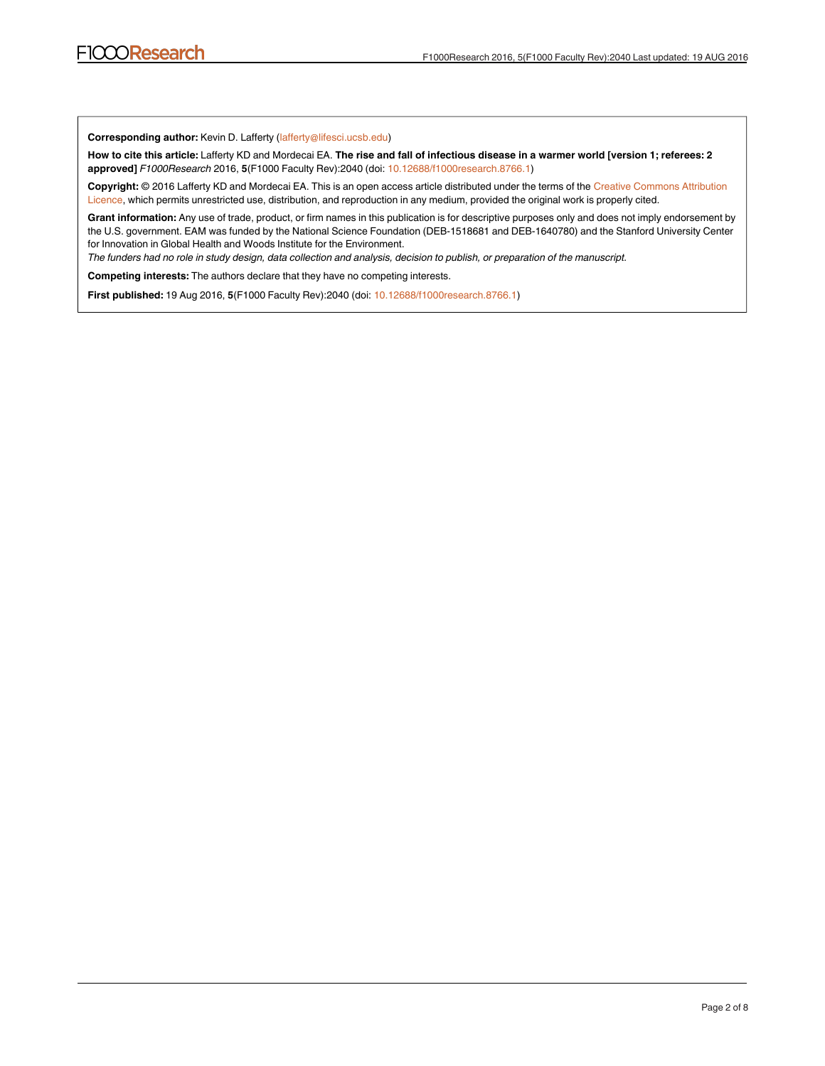**Corresponding author:** Kevin D. Lafferty (lafferty@lifesci.ucsb.edu)

**How to cite this article:** Lafferty KD and Mordecai EA. **The rise and fall of infectious disease in a warmer world [version 1; referees: 2 approved]** *F1000Research* 2016, **5**(F1000 Faculty Rev):2040 (doi: [10.12688/f1000research.8766.1\)](http://dx.doi.org/10.12688/f1000research.8766.1)

**Copyright:** © 2016 Lafferty KD and Mordecai EA. This is an open access article distributed under the terms of the [Creative Commons Attribution](http://creativecommons.org/licenses/by/4.0/) [Licence](http://creativecommons.org/licenses/by/4.0/), which permits unrestricted use, distribution, and reproduction in any medium, provided the original work is properly cited.

**Grant information:** Any use of trade, product, or firm names in this publication is for descriptive purposes only and does not imply endorsement by the U.S. government. EAM was funded by the National Science Foundation (DEB-1518681 and DEB-1640780) and the Stanford University Center for Innovation in Global Health and Woods Institute for the Environment.

*The funders had no role in study design, data collection and analysis, decision to publish, or preparation of the manuscript.*

**Competing interests:** The authors declare that they have no competing interests.

**First published:** 19 Aug 2016, **5**(F1000 Faculty Rev):2040 (doi: [10.12688/f1000research.8766.1\)](http://dx.doi.org/10.12688/f1000research.8766.1)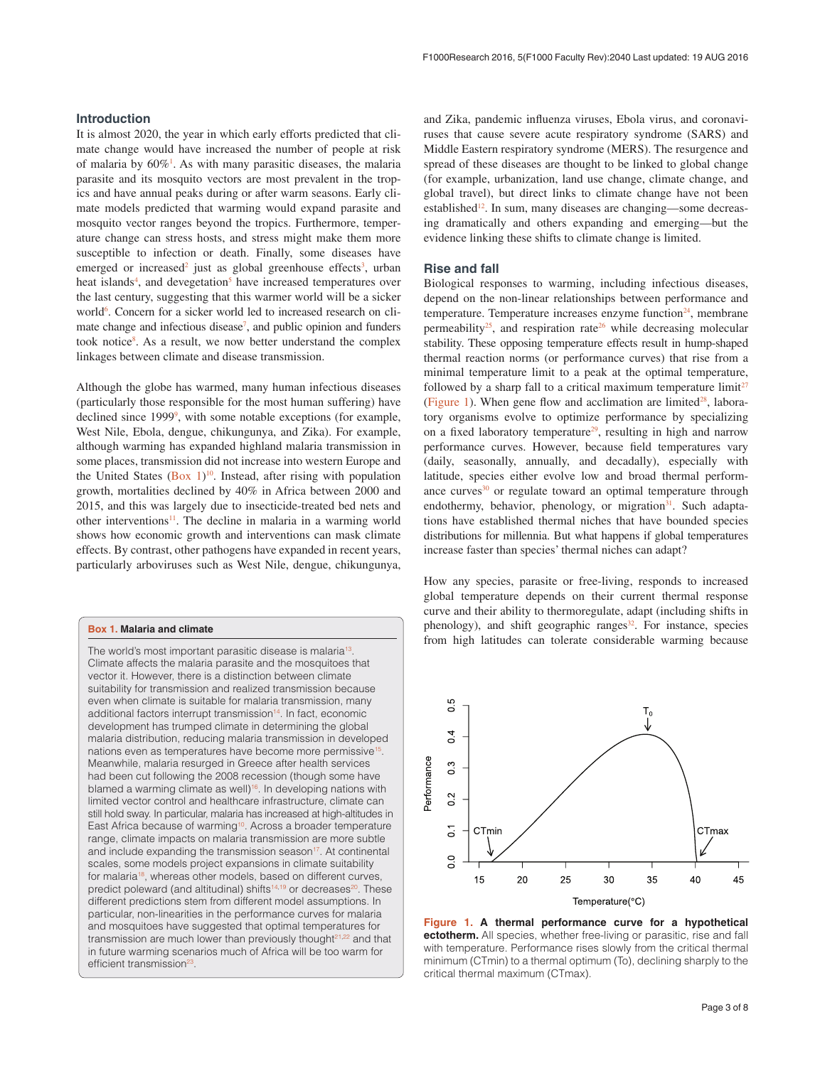### <span id="page-2-0"></span>**Introduction**

It is almost 2020, the year in which early efforts predicted that climate change would have increased the number of people at risk of malaria by  $60\%$ <sup>[1](#page-5-0)</sup>. As with many parasitic diseases, the malaria parasite and its mosquito vectors are most prevalent in the tropics and have annual peaks during or after warm seasons. Early climate models predicted that warming would expand parasite and mosquito vector ranges beyond the tropics. Furthermore, temperature change can stress hosts, and stress might make them more susceptible to infection or death. Finally, some diseases have emerged or increased<sup>2</sup> just as global greenhouse effects<sup>3</sup>, urban heat islands<sup>[4](#page-5-0)</sup>, and devegetation<sup>[5](#page-5-0)</sup> have increased temperatures over the last century, suggesting that this warmer world will be a sicker world<sup>[6](#page-5-0)</sup>. Concern for a sicker world led to increased research on climate change and infectious disease<sup>7</sup>, and public opinion and funders took notice<sup>8</sup>. As a result, we now better understand the complex linkages between climate and disease transmission.

Although the globe has warmed, many human infectious diseases (particularly those responsible for the most human suffering) have declined since 1[99](#page-5-0)9<sup>9</sup>, with some notable exceptions (for example, West Nile, Ebola, dengue, chikungunya, and Zika). For example, although warming has expanded highland malaria transmission in some places, transmission did not increase into western Europe and the United States (Box  $1$ )<sup>10</sup>. Instead, after rising with population growth, mortalities declined by 40% in Africa between 2000 and 2015, and this was largely due to insecticide-treated bed nets and other interventions<sup>11</sup>. The decline in malaria in a warming world shows how economic growth and interventions can mask climate effects. By contrast, other pathogens have expanded in recent years, particularly arboviruses such as West Nile, dengue, chikungunya,

#### **Box 1. Malaria and climate**

The world's most important parasitic disease is malaria<sup>13</sup> Climate affects the malaria parasite and the mosquitoes that vector it. However, there is a distinction between climate suitability for transmission and realized transmission because even when climate is suitable for malaria transmission, many additional factors interrupt transmission<sup>14</sup>. In fact, economic development has trumped climate in determining the global malaria distribution, reducing malaria transmission in developed nations even as temperatures have become more permissive<sup>15</sup> Meanwhile, malaria resurged in Greece after health services had been cut following the 2008 recession (though some have blamed a warming climate as well)<sup>16</sup>. In developing nations with limited vector control and healthcare infrastructure, climate can still hold sway. In particular, malaria has increased at high-altitudes in East Africa because of warming<sup>10</sup>. Across a broader temperature range, climate impacts on malaria transmission are more subtle and include expanding the transmission season<sup>17</sup>. At continental scales, some models project expansions in climate suitability for malaria<sup>18</sup>, whereas other models, based on different curves, predict poleward (and altitudinal) shifts<sup>14,19</sup> or decreases<sup>20</sup>. These different predictions stem from different model assumptions. In particular, non-linearities in the performance curves for malaria and mosquitoes have suggested that optimal temperatures for transmission are much lower than previously thought $21,22$  and that in future warming scenarios much of Africa will be too warm for efficient transmission<sup>23</sup>.

and Zika, pandemic influenza viruses, Ebola virus, and coronaviruses that cause severe acute respiratory syndrome (SARS) and Middle Eastern respiratory syndrome (MERS). The resurgence and spread of these diseases are thought to be linked to global change (for example, urbanization, land use change, climate change, and global travel), but direct links to climate change have not been established<sup>12</sup>. In sum, many diseases are changing—some decreasing dramatically and others expanding and emerging—but the evidence linking these shifts to climate change is limited.

### **Rise and fall**

Biological responses to warming, including infectious diseases, depend on the non-linear relationships between performance and temperature. Temperature increases enzyme function $24$ , membrane permeability<sup>25</sup>, and respiration rate<sup>26</sup> while decreasing molecular stability. These opposing temperature effects result in hump-shaped thermal reaction norms (or performance curves) that rise from a minimal temperature limit to a peak at the optimal temperature, followed by a sharp fall to a critical maximum temperature  $\lim_{\epsilon \to 0} i^{27}$ (Figure 1). When gene flow and acclimation are limited $28$ , laboratory organisms evolve to optimize performance by specializing on a fixed laboratory temperature<sup>29</sup>, resulting in high and narrow performance curves. However, because field temperatures vary (daily, seasonally, annually, and decadally), especially with latitude, species either evolve low and broad thermal performance curves $30$  or regulate toward an optimal temperature through endothermy, behavior, phenology, or migration<sup>[31](#page-5-0)</sup>. Such adaptations have established thermal niches that have bounded species distributions for millennia. But what happens if global temperatures increase faster than species' thermal niches can adapt?

How any species, parasite or free-living, responds to increased global temperature depends on their current thermal response curve and their ability to thermoregulate, adapt (including shifts in phenology), and shift geographic ranges $32$ . For instance, species from high latitudes can tolerate considerable warming because



**Figure 1. A thermal performance curve for a hypothetical ectotherm.** All species, whether free-living or parasitic, rise and fall with temperature. Performance rises slowly from the critical thermal minimum (CTmin) to a thermal optimum (To), declining sharply to the critical thermal maximum (CTmax).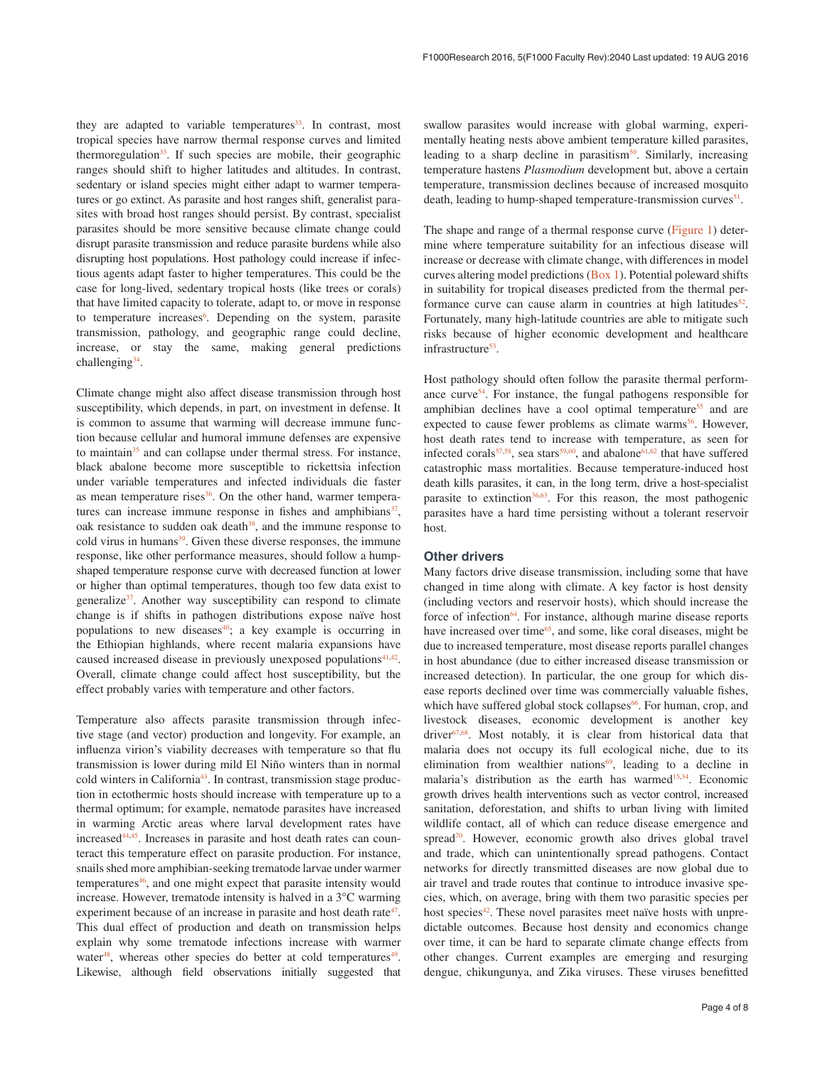they are adapted to variable temperatures<sup>[33](#page-5-0)</sup>. In contrast, most tropical species have narrow thermal response curves and limited thermoregulation $33$ . If such species are mobile, their geographic ranges should shift to higher latitudes and altitudes. In contrast, sedentary or island species might either adapt to warmer temperatures or go extinct. As parasite and host ranges shift, generalist parasites with broad host ranges should persist. By contrast, specialist parasites should be more sensitive because climate change could disrupt parasite transmission and reduce parasite burdens while also disrupting host populations. Host pathology could increase if infectious agents adapt faster to higher temperatures. This could be the case for long-lived, sedentary tropical hosts (like trees or corals) that have limited capacity to tolerate, adapt to, or move in response to temperature increases<sup>[6](#page-5-0)</sup>. Depending on the system, parasite transmission, pathology, and geographic range could decline, increase, or stay the same, making general predictions challenging<sup>34</sup>.

Climate change might also affect disease transmission through host susceptibility, which depends, in part, on investment in defense. It is common to assume that warming will decrease immune function because cellular and humoral immune defenses are expensive to maintain<sup>35</sup> and can collapse under thermal stress. For instance, black abalone become more susceptible to rickettsia infection under variable temperatures and infected individuals die faster as mean temperature rises $36$ . On the other hand, warmer temperatures can increase immune response in fishes and amphibians $37$ , oak resistance to sudden oak death<sup>38</sup>, and the immune response to cold virus in humans<sup>39</sup>. Given these diverse responses, the immune response, like other performance measures, should follow a humpshaped temperature response curve with decreased function at lower or higher than optimal temperatures, though too few data exist to generalize $3^7$ . Another way susceptibility can respond to climate change is if shifts in pathogen distributions expose naïve host populations to new diseases $40$ ; a key example is occurring in the Ethiopian highlands, where recent malaria expansions have caused increased disease in previously unexposed populations $41,42$ . Overall, climate change could affect host susceptibility, but the effect probably varies with temperature and other factors.

Temperature also affects parasite transmission through infective stage (and vector) production and longevity. For example, an influenza virion's viability decreases with temperature so that flu transmission is lower during mild El Niño winters than in normal cold winters in California<sup>[43](#page-5-0)</sup>. In contrast, transmission stage production in ectothermic hosts should increase with temperature up to a thermal optimum; for example, nematode parasites have increased in warming Arctic areas where larval development rates have increased[44,45](#page-5-0). Increases in parasite and host death rates can counteract this temperature effect on parasite production. For instance, snails shed more amphibian-seeking trematode larvae under warmer temperatures<sup>46</sup>, and one might expect that parasite intensity would increase. However, trematode intensity is halved in a 3**°**C warming experiment because of an increase in parasite and host death rate<sup>47</sup>. This dual effect of production and death on transmission helps explain why some trematode infections increase with warmer water<sup>48</sup>, whereas other species do better at cold temperatures<sup>49</sup>. Likewise, although field observations initially suggested that

swallow parasites would increase with global warming, experimentally heating nests above ambient temperature killed parasites, leading to a sharp decline in parasitism $50$ . Similarly, increasing temperature hastens *Plasmodium* development but, above a certain temperature, transmission declines because of increased mosquito death, leading to hump-shaped temperature-transmission curves<sup>51</sup>.

The shape and range of a thermal response curve ([Figure 1](#page-2-0)) determine where temperature suitability for an infectious disease will increase or decrease with climate change, with differences in model curves altering model predictions ([Box 1\)](#page-2-0). Potential poleward shifts in suitability for tropical diseases predicted from the thermal performance curve can cause alarm in countries at high latitudes<sup>52</sup>. Fortunately, many high-latitude countries are able to mitigate such risks because of higher economic development and healthcare infrastructure<sup>53</sup>.

Host pathology should often follow the parasite thermal perform-ance curve<sup>[54](#page-6-0)</sup>. For instance, the fungal pathogens responsible for amphibian declines have a cool optimal temperature<sup>[55](#page-6-0)</sup> and are expected to cause fewer problems as climate warms<sup>56</sup>. However, host death rates tend to increase with temperature, as seen for infected corals<sup>57,58</sup>, sea stars<sup>59,60</sup>, and abalone<sup>61,62</sup> that have suffered catastrophic mass mortalities. Because temperature-induced host death kills parasites, it can, in the long term, drive a host-specialist parasite to extinction<sup>[36](#page-5-0),63</sup>. For this reason, the most pathogenic parasites have a hard time persisting without a tolerant reservoir host.

#### **Other drivers**

Many factors drive disease transmission, including some that have changed in time along with climate. A key factor is host density (including vectors and reservoir hosts), which should increase the force of infection<sup>64</sup>. For instance, although marine disease reports have increased over time<sup>65</sup>, and some, like coral diseases, might be due to increased temperature, most disease reports parallel changes in host abundance (due to either increased disease transmission or increased detection). In particular, the one group for which disease reports declined over time was commercially valuable fishes, which have suffered global stock collapses<sup>66</sup>. For human, crop, and livestock diseases, economic development is another key driver<sup>67,68</sup>. Most notably, it is clear from historical data that malaria does not occupy its full ecological niche, due to its elimination from wealthier nations $69$ , leading to a decline in malaria's distribution as the earth has warmed<sup>[15,34](#page-5-0)</sup>. Economic growth drives health interventions such as vector control, increased sanitation, deforestation, and shifts to urban living with limited wildlife contact, all of which can reduce disease emergence and spread<sup>70</sup>. However, economic growth also drives global travel and trade, which can unintentionally spread pathogens. Contact networks for directly transmitted diseases are now global due to air travel and trade routes that continue to introduce invasive species, which, on average, bring with them two parasitic species per host species<sup>42</sup>. These novel parasites meet naïve hosts with unpredictable outcomes. Because host density and economics change over time, it can be hard to separate climate change effects from other changes. Current examples are emerging and resurging dengue, chikungunya, and Zika viruses. These viruses benefitted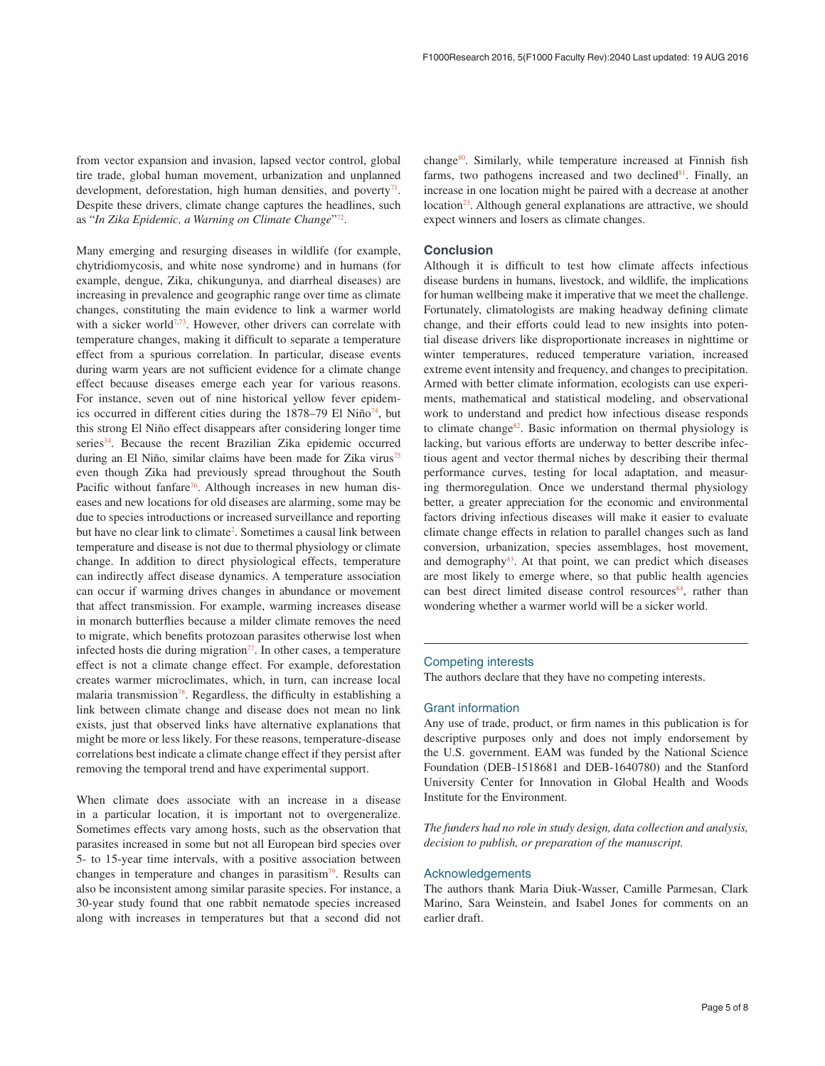from vector expansion and invasion, lapsed vector control, global tire trade, global human movement, urbanization and unplanned development, deforestation, high human densities, and poverty $71$ . Despite these drivers, climate change captures the headlines, such as "*In Zika Epidemic, a Warning on Climate Change*["72](#page-6-0).

Many emerging and resurging diseases in wildlife (for example, chytridiomycosis, and white nose syndrome) and in humans (for example, dengue, Zika, chikungunya, and diarrheal diseases) are increasing in prevalence and geographic range over time as climate changes, constituting the main evidence to link a warmer world with a sicker world<sup>[7,](#page-5-0)[73](#page-6-0)</sup>. However, other drivers can correlate with temperature changes, making it difficult to separate a temperature effect from a spurious correlation. In particular, disease events during warm years are not sufficient evidence for a climate change effect because diseases emerge each year for various reasons. For instance, seven out of nine historical yellow fever epidemics occurred in different cities during the  $1878-79$  El Niño<sup>74</sup>, but this strong El Niño effect disappears after considering longer time series<sup>34</sup>. Because the recent Brazilian Zika epidemic occurred during an El Niño, similar claims have been made for Zika virus<sup>75</sup> even though Zika had previously spread throughout the South Pacific without fanfare<sup>76</sup>. Although increases in new human diseases and new locations for old diseases are alarming, some may be due to species introductions or increased surveillance and reporting but have no clear link to climate<sup>[2](#page-5-0)</sup>. Sometimes a causal link between temperature and disease is not due to thermal physiology or climate change. In addition to direct physiological effects, temperature can indirectly affect disease dynamics. A temperature association can occur if warming drives changes in abundance or movement that affect transmission. For example, warming increases disease in monarch butterflies because a milder climate removes the need to migrate, which benefits protozoan parasites otherwise lost when infected hosts die during migration $77$ . In other cases, a temperature effect is not a climate change effect. For example, deforestation creates warmer microclimates, which, in turn, can increase local malaria transmission $78$ . Regardless, the difficulty in establishing a link between climate change and disease does not mean no link exists, just that observed links have alternative explanations that might be more or less likely. For these reasons, temperature-disease correlations best indicate a climate change effect if they persist after removing the temporal trend and have experimental support.

When climate does associate with an increase in a disease in a particular location, it is important not to overgeneralize. Sometimes effects vary among hosts, such as the observation that parasites increased in some but not all European bird species over 5- to 15-year time intervals, with a positive association between changes in temperature and changes in parasitism $79$ . Results can also be inconsistent among similar parasite species. For instance, a 30-year study found that one rabbit nematode species increased along with increases in temperatures but that a second did not

change<sup>80</sup>. Similarly, while temperature increased at Finnish fish farms, two pathogens increased and two declined<sup>[81](#page-6-0)</sup>. Finally, an increase in one location might be paired with a decrease at another location<sup>23</sup>. Although general explanations are attractive, we should expect winners and losers as climate changes.

#### **Conclusion**

Although it is difficult to test how climate affects infectious disease burdens in humans, livestock, and wildlife, the implications for human wellbeing make it imperative that we meet the challenge. Fortunately, climatologists are making headway defining climate change, and their efforts could lead to new insights into potential disease drivers like disproportionate increases in nighttime or winter temperatures, reduced temperature variation, increased extreme event intensity and frequency, and changes to precipitation. Armed with better climate information, ecologists can use experiments, mathematical and statistical modeling, and observational work to understand and predict how infectious disease responds to climate change<sup>82</sup>. Basic information on thermal physiology is lacking, but various efforts are underway to better describe infectious agent and vector thermal niches by describing their thermal performance curves, testing for local adaptation, and measuring thermoregulation. Once we understand thermal physiology better, a greater appreciation for the economic and environmental factors driving infectious diseases will make it easier to evaluate climate change effects in relation to parallel changes such as land conversion, urbanization, species assemblages, host movement, and demography<sup>83</sup>. At that point, we can predict which diseases are most likely to emerge where, so that public health agencies can best direct limited disease control resources<sup>[84](#page-6-0)</sup>, rather than wondering whether a warmer world will be a sicker world.

#### Competing interests

The authors declare that they have no competing interests.

#### Grant information

Any use of trade, product, or firm names in this publication is for descriptive purposes only and does not imply endorsement by the U.S. government. EAM was funded by the National Science Foundation (DEB-1518681 and DEB-1640780) and the Stanford University Center for Innovation in Global Health and Woods Institute for the Environment.

*The funders had no role in study design, data collection and analysis, decision to publish, or preparation of the manuscript.*

#### Acknowledgements

The authors thank Maria Diuk-Wasser, Camille Parmesan, Clark Marino, Sara Weinstein, and Isabel Jones for comments on an earlier draft.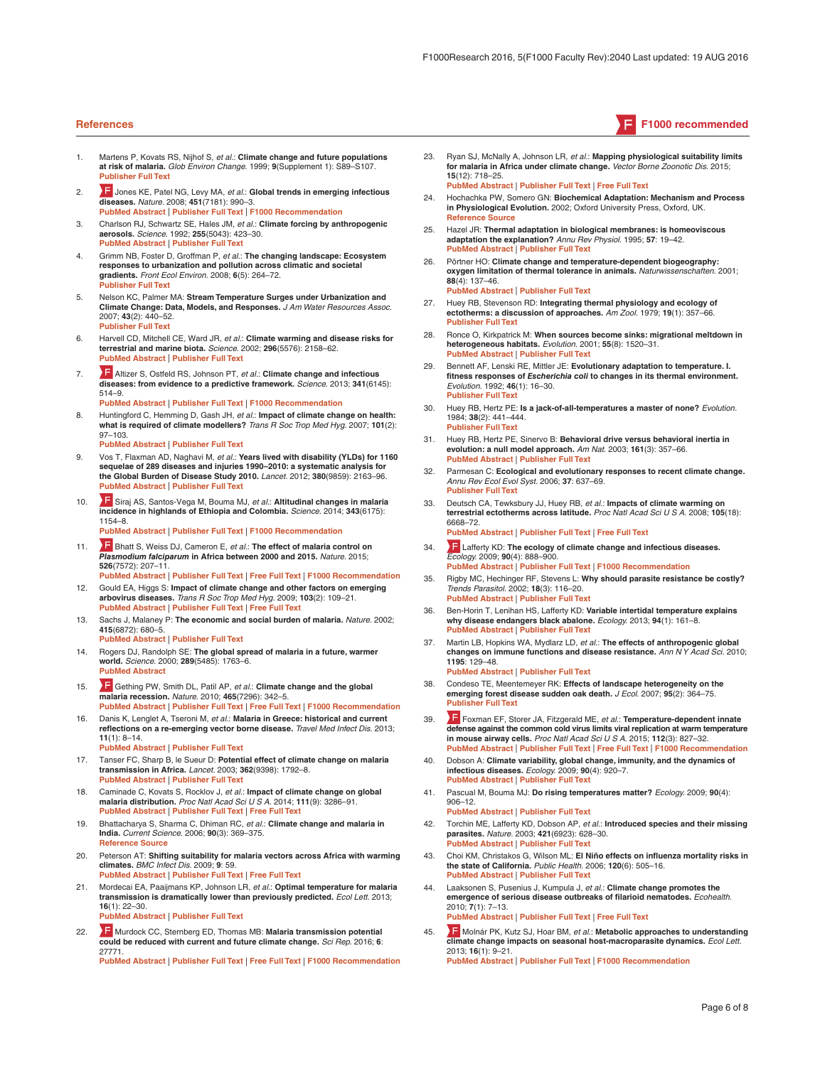- 1. Martens P, Kovats RS, Nijhof S, *et al.*: **Climate change and future populations at risk of malaria.** *Glob Environ Change.* 1999; **9**(Supplement 1): S89–S107. **[Publisher Full Text](http://dx.doi.org/10.1016/S0959-3780(99)00020-5)**
- 2. **July 3. 19 [J](http://f1000.com/prime/1102336)ones KE, Patel NG, Levy MA,** *et al.***: Global trends in emerging infectious diseases.** *Nature.* 2008; **451**(7181): 990–3. **[PubMed Abstract](http://www.ncbi.nlm.nih.gov/pubmed/18288193)** | **[Publisher Full Text](http://dx.doi.org/10.1038/nature06536)** | **[F1000 Recommendation](http://f1000.com/prime/1102336)**
- 3. Charlson RJ, Schwartz SE, Hales JM, *et al.*: **Climate forcing by anthropogenic aerosols.** *Science.* 1992; **255**(5043): 423–30. **[PubMed Abstract](http://www.ncbi.nlm.nih.gov/pubmed/17842894)** | **[Publisher Full Text](http://dx.doi.org/10.1126/science.255.5043.423)**
- 4. Grimm NB, Foster D, Groffman P, *et al.*: **The changing landscape: Ecosystem responses to urbanization and pollution across climatic and societal gradients.** *Front Ecol Environ.* 2008; **6**(5): 264–72. **[Publisher Full Text](http://dx.doi.org/10.1890/070147)**
- 5. Nelson KC, Palmer MA: **Stream Temperature Surges under Urbanization and Climate Change: Data, Models, and Responses.** *J Am Water Resources Assoc.* 2007; **43**(2): 440–52. **[Publisher Full Text](http://dx.doi.org/10.1111/j.1752-1688.2007.00034.x)**
- 6. Harvell CD, Mitchell CE, Ward JR, *et al.*: **Climate warming and disease risks for terrestrial and marine biota.** *Science.* 2002; **296**(5576): 2158–62. **[PubMed Abstract](http://www.ncbi.nlm.nih.gov/pubmed/12077394)** | **[Publisher Full Text](http://dx.doi.org/10.1126/science.1063699)**
- 7. [A](http://f1000.com/prime/718056206)ltizer S, Ostfeld RS, Johnson PT, *et al.*: **Climate change and infectious diseases: from evidence to a predictive framework.** *Science.* 2013; **341**(6145): 514–9.
	- **[PubMed Abstract](http://www.ncbi.nlm.nih.gov/pubmed/23908230)** | **[Publisher Full Text](http://dx.doi.org/10.1126/science.1239401)** | **[F1000 Recommendation](http://f1000.com/prime/718056206)**
- 8. Huntingford C, Hemming D, Gash JH, *et al.*: **Impact of climate change on health: what is required of climate modellers?** *Trans R Soc Trop Med Hyg.* 2007; **101**(2): 97–103.
	- **[PubMed Abstract](http://www.ncbi.nlm.nih.gov/pubmed/17126868)** | **[Publisher Full Text](http://dx.doi.org/10.1016/j.trstmh.2006.11.001)**
- 9. Vos T, Flaxman AD, Naghavi M, *et al.*: **Years lived with disability (YLDs) for 1160 sequelae of 289 diseases and injuries 1990–2010: a systematic analysis for the Global Burden of Disease Study 2010.** *Lancet.* 2012; **380**(9859): 2163–96. **[PubMed Abstract](http://www.ncbi.nlm.nih.gov/pubmed/23245607)** | **[Publisher Full Text](http://dx.doi.org/10.1016/S0140-6736(12)61729-2)**
- 10. [S](http://f1000.com/prime/718302518)iraj AS, Santos-Vega M, Bouma MJ, *et al.*: **Altitudinal changes in malaria incidence in highlands of Ethiopia and Colombia.** *Science.* 2014; **343**(6175): 1154–8. **[PubMed Abstract](http://www.ncbi.nlm.nih.gov/pubmed/24604201)** | **[Publisher Full Text](http://dx.doi.org/10.1126/science.1244325)** | **[F1000 Recommendation](http://f1000.com/prime/718302518)**
- 11. **F** [B](http://f1000.com/prime/725792092)hatt S, Weiss DJ, Cameron E, *et al.*: The effect of malaria control on
- *Plasmodium falciparum* **in Africa between 2000 and 2015.** *Nature.* 2015; **526**(7572): 207–11. **[PubMed Abstract](http://www.ncbi.nlm.nih.gov/pubmed/26375008)** | **[Publisher Full Text](http://dx.doi.org/10.1038/nature15535)** | **[Free Full Text](http://www.ncbi.nlm.nih.gov/pmc/articles/4820050)** | **[F1000 Recommendation](http://f1000.com/prime/725792092)**
- 12. Gould EA, Higgs S: **Impact of climate change and other factors on emerging arbovirus diseases.** *Trans R Soc Trop Med Hyg.* 2009; **103**(2): 109–21. **[PubMed Abstract](http://www.ncbi.nlm.nih.gov/pubmed/18799177)** | **[Publisher Full Text](http://dx.doi.org/10.1016/j.trstmh.2008.07.025)** | **[Free Full Text](http://www.ncbi.nlm.nih.gov/pmc/articles/2915563)**
- 13. Sachs J, Malaney P: **The economic and social burden of malaria.** *Nature.* 2002; **415**(6872): 680–5. **[PubMed Abstract](http://www.ncbi.nlm.nih.gov/pubmed/11832956)** | **[Publisher Full Text](http://dx.doi.org/10.1038/415680a)**
- 14. Rogers DJ, Randolph SE: **The global spread of malaria in a future, warmer world.** *Science.* 2000; **289**(5485): 1763–6. **[PubMed Abstract](http://www.ncbi.nlm.nih.gov/pubmed/10976072)**
- 15. [G](http://f1000.com/prime/3437970)ething PW, Smith DL, Patil AP, *et al.*: **Climate change and the global malaria recession.** *Nature.* 2010; **465**(7296): 342–5. **[PubMed Abstract](http://www.ncbi.nlm.nih.gov/pubmed/20485434)** | **[Publisher Full Text](http://dx.doi.org/10.1038/nature09098)** | **[Free Full Text](http://www.ncbi.nlm.nih.gov/pmc/articles/2885436)** | **[F1000 Recommendation](http://f1000.com/prime/3437970)**
- 16. Danis K, Lenglet A, Tseroni M, *et al.*: **Malaria in Greece: historical and current reflections on a re-emerging vector borne disease.** *Travel Med Infect Dis.* 2013; **11**(1): 8–14. **[PubMed Abstract](http://www.ncbi.nlm.nih.gov/pubmed/23434287)** | **[Publisher Full Text](http://dx.doi.org/10.1016/j.tmaid.2013.01.001)**
- 17. Tanser FC, Sharp B, le Sueur D: **Potential effect of climate change on malaria transmission in Africa.** *Lancet.* 2003; **362**(9398): 1792–8. **[PubMed Abstract](http://www.ncbi.nlm.nih.gov/pubmed/14654317)** | **[Publisher Full Text](http://dx.doi.org/10.1016/S0140-6736(03)14898-2)**
- 18. Caminade C, Kovats S, Rocklov J, *et al.*: **Impact of climate change on global malaria distribution.** *Proc Natl Acad Sci U S A.* 2014; **111**(9): 3286–91. **[PubMed Abstract](http://www.ncbi.nlm.nih.gov/pubmed/24596427)** | **[Publisher Full Text](http://dx.doi.org/10.1073/pnas.1302089111)** | **[Free Full Text](http://www.ncbi.nlm.nih.gov/pmc/articles/3948226)**
- 19. Bhattacharya S, Sharma C, Dhiman RC, *et al.*: **Climate change and malaria in India.** *Current Science.* 2006; **90**(3): 369–375. **[Reference Source](http://www.indiaenvironmentportal.org.in/files/malaria and climate change.pdf)**
- 20. Peterson AT: **Shifting suitability for malaria vectors across Africa with warming climates.** *BMC Infect Dis.* 2009; **9**: 59. **[PubMed Abstract](http://www.ncbi.nlm.nih.gov/pubmed/19426558)** | **[Publisher Full Text](http://dx.doi.org/10.1186/1471-2334-9-59)** | **[Free Full Text](http://www.ncbi.nlm.nih.gov/pmc/articles/2694813)**
- 21. Mordecai EA, Paaijmans KP, Johnson LR, *et al.*: **Optimal temperature for malaria transmission is dramatically lower than previously predicted.** *Ecol Lett.* 2013; **16**(1): 22–30.

**[PubMed Abstract](http://www.ncbi.nlm.nih.gov/pubmed/23050931)** | **[Publisher Full Text](http://dx.doi.org/10.1111/ele.12015)**

22. [M](http://f1000.com/prime/726438539)urdock CC, Sternberg ED, Thomas MB: **Malaria transmission potential could be reduced with current and future climate change.** *Sci Rep.* 2016; **6**: 27771.

**[PubMed Abstract](http://www.ncbi.nlm.nih.gov/pubmed/27324146)** | **[Publisher Full Text](http://dx.doi.org/10.1038/srep27771)** | **[Free Full Text](http://www.ncbi.nlm.nih.gov/pmc/articles/4914975)** | **[F1000 Recommendation](http://f1000.com/prime/726438539)**

- 23. Ryan SJ, McNally A, Johnson LR, *et al.*: **Mapping physiological suitability limits for malaria in Africa under climate change.** *Vector Borne Zoonotic Dis.* 2015; **15**(12): 718–25. **[PubMed Abstract](http://www.ncbi.nlm.nih.gov/pubmed/26579951)** | **[Publisher Full Text](http://dx.doi.org/10.1089/vbz.2015.1822)** | **[Free Full Text](http://www.ncbi.nlm.nih.gov/pmc/articles/4700390)**
- 
- 24. Hochachka PW, Somero GN: **Biochemical Adaptation: Mechanism and Process in Physiological Evolution.** 2002; Oxford University Press, Oxford, UK. **[Reference Source](https://books.google.co.in/books?id=gNkL_un9644C&printsec=frontcover)**
- 25. Hazel JR: **Thermal adaptation in biological membranes: is homeoviscous adaptation the explanation?** *Annu Rev Physiol.* 1995; **57**: 19–42. **[PubMed Abstract](http://www.ncbi.nlm.nih.gov/pubmed/7778864)** | **[Publisher Full Text](http://dx.doi.org/10.1146/annurev.ph.57.030195.000315)**
- 26. Pörtner HO: **Climate change and temperature-dependent biogeography: oxygen limitation of thermal tolerance in animals.** *Naturwissenschaften.* 2001; **88**(4): 137–46. **[PubMed Abstract](http://www.ncbi.nlm.nih.gov/pubmed/11480701)** | **[Publisher Full Text](http://dx.doi.org/10.1007/s001140100216)**
- 27. Huey RB, Stevenson RD: **Integrating thermal physiology and ecology of ectotherms: a discussion of approaches.** *Am Zool.* 1979; **19**(1): 357–66. **[Publisher Full Text](http://dx.doi.org/10.1093/icb/19.1.357)**
- 28. Ronce O, Kirkpatrick M: **When sources become sinks: migrational meltdown in heterogeneous habitats.** *Evolution.* 2001; **55**(8): 1520–31. **[PubMed Abstract](http://www.ncbi.nlm.nih.gov/pubmed/11580012)** | **[Publisher Full Text](http://dx.doi.org/10.1111/j.0014-3820.2001.tb00672.x)**
- 29. Bennett AF, Lenski RE, Mittler JE: **Evolutionary adaptation to temperature. I. fitness responses of** *Escherichia coli* **to changes in its thermal environment.** *Evolution.* 1992; **46**(1): 16–30. **[Publisher Full Text](http://dx.doi.org/10.2307/2409801)**
- 30. Huey RB, Hertz PE: **Is a jack-of-all-temperatures a master of none?** *Evolution.* 1984; **38**(2): 441–444. **[Publisher Full Text](http://dx.doi.org/10.2307/2408502)**
- 31. Huey RB, Hertz PE, Sinervo B: **Behavioral drive versus behavioral inertia in evolution: a null model approach.** *Am Nat.* 2003; **161**(3): 357–66. **[PubMed Abstract](http://www.ncbi.nlm.nih.gov/pubmed/12699218)** | **[Publisher Full Text](http://dx.doi.org/10.1086/346135)**
- 32. Parmesan C: **Ecological and evolutionary responses to recent climate change.** *Annu Rev Ecol Evol Syst.* 2006; **37**: 637–69. **[Publisher Full Text](http://dx.doi.org/10.1146/annurev.ecolsys.37.091305.110100)**
- 33. Deutsch CA, Tewksbury JJ, Huey RB, *et al.*: **Impacts of climate warming on terrestrial ectotherms across latitude.** *Proc Natl Acad Sci U S A.* 2008; **105**(18): 6668–72.

**[PubMed Abstract](http://www.ncbi.nlm.nih.gov/pubmed/18458348)** | **[Publisher Full Text](http://dx.doi.org/10.1073/pnas.0709472105)** | **[Free Full Text](http://www.ncbi.nlm.nih.gov/pmc/articles/2373333)**

- 34. [L](http://f1000.com/prime/1160506)afferty KD: **The ecology of climate change and infectious diseases.** *Ecology.* 2009; **90**(4): 888–900.
- **[PubMed Abstract](http://www.ncbi.nlm.nih.gov/pubmed/19449681)** | **[Publisher Full Text](http://dx.doi.org/10.1890/08-0079.1)** | **[F1000 Recommendation](http://f1000.com/prime/1160506)** 35. Rigby MC, Hechinger RF, Stevens L: **Why should parasite resistance be costly?**
- *Trends Parasitol.* 2002; **18**(3): 116–20. **[PubMed Abstract](http://www.ncbi.nlm.nih.gov/pubmed/11854088)** | **[Publisher Full Text](http://dx.doi.org/10.1016/S1471-4922(01)02203-6)**
- 36. Ben-Horin T, Lenihan HS, Lafferty KD: **Variable intertidal temperature explains why disease endangers black abalone.** *Ecology.* 2013; **94**(1): 161–8. **[PubMed Abstract](http://www.ncbi.nlm.nih.gov/pubmed/23600250)** | **[Publisher Full Text](http://dx.doi.org/10.1890/11-2257.1)**
- 37. Martin LB, Hopkins WA, Mydlarz LD, *et al.*: **The effects of anthropogenic global changes on immune functions and disease resistance.** *Ann N Y Acad Sci.* 2010; **1195**: 129–48.

**[PubMed Abstract](http://www.ncbi.nlm.nih.gov/pubmed/20536821)** | **[Publisher Full Text](http://dx.doi.org/10.1111/j.1749-6632.2010.05454.x)**

- 38. Condeso TE, Meentemeyer RK: **Effects of landscape heterogeneity on the emerging forest disease sudden oak death.** *J Ecol.* 2007; **95**(2): 364–75. **[Publisher Full Text](http://dx.doi.org/10.1111/j.1365-2745.2006.01206.x)**
- 39. [F](http://f1000.com/prime/725298380)oxman EF, Storer JA, Fitzgerald ME, *et al.*: **Temperature-dependent innate defense against the common cold virus limits viral replication at warm temperature in mouse airway cells.** *Proc Natl Acad Sci U S A.* 2015; **112**(3): 827–32. **[PubMed Abstract](http://www.ncbi.nlm.nih.gov/pubmed/25561542)** | **[Publisher Full Text](http://dx.doi.org/10.1073/pnas.1411030112)** | **[Free Full Text](http://www.ncbi.nlm.nih.gov/pmc/articles/4311828)** | **[F1000 Recommendation](http://f1000.com/prime/725298380)**
- 40. Dobson A: **Climate variability, global change, immunity, and the dynamics of infectious diseases.** *Ecology.* 2009; **90**(4): 920–7. **[PubMed Abstract](http://www.ncbi.nlm.nih.gov/pubmed/19449686)** | **[Publisher Full Text](http://dx.doi.org/10.1890/08-0736.1)**
- 41. Pascual M, Bouma MJ: **Do rising temperatures matter?** *Ecology.* 2009; **90**(4): 906–12.
- **[PubMed Abstract](http://www.ncbi.nlm.nih.gov/pubmed/19449684)** | **[Publisher Full Text](http://dx.doi.org/10.1890/08-0730.1)** 42. Torchin ME, Lafferty KD, Dobson AP, *et al.*: **Introduced species and their missing parasites.** *Nature.* 2003; **421**(6923): 628–30.
- **[PubMed Abstract](http://www.ncbi.nlm.nih.gov/pubmed/12571595)** | **[Publisher Full Text](http://dx.doi.org/10.1038/nature01346)** 43. Choi KM, Christakos G, Wilson ML: **El Niño effects on influenza mortality risks in the state of California.** *Public Health.* 2006; **120**(6): 505–16.
- **[PubMed Abstract](http://www.ncbi.nlm.nih.gov/pubmed/16697021)** | **[Publisher Full Text](http://dx.doi.org/10.1016/j.puhe.2006.01.011)** Laaksonen S, Pusenius J, Kumpula J, et al.: Climate change promotes the **emergence of serious disease outbreaks of filarioid nematodes.** *Ecohealth.* 2010; **7**(1): 7–13.

**[PubMed Abstract](http://www.ncbi.nlm.nih.gov/pubmed/20422252)** | **[Publisher Full Text](http://dx.doi.org/10.1007/s10393-010-0308-z)** | **[Free Full Text](http://www.ncbi.nlm.nih.gov/pmc/articles/2919982)**

45. [M](http://f1000.com/prime/717968762)olnár PK, Kutz SJ, Hoar BM, *et al.*: **Metabolic approaches to understanding climate change impacts on seasonal host-macroparasite dynamics.** *Ecol Lett.* 2013; **16**(1): 9–21. **[PubMed Abstract](http://www.ncbi.nlm.nih.gov/pubmed/23157563)** | **[Publisher Full Text](http://dx.doi.org/10.1111/ele.12022)** | **[F1000 Recommendation](http://f1000.com/prime/717968762)**

<span id="page-5-0"></span>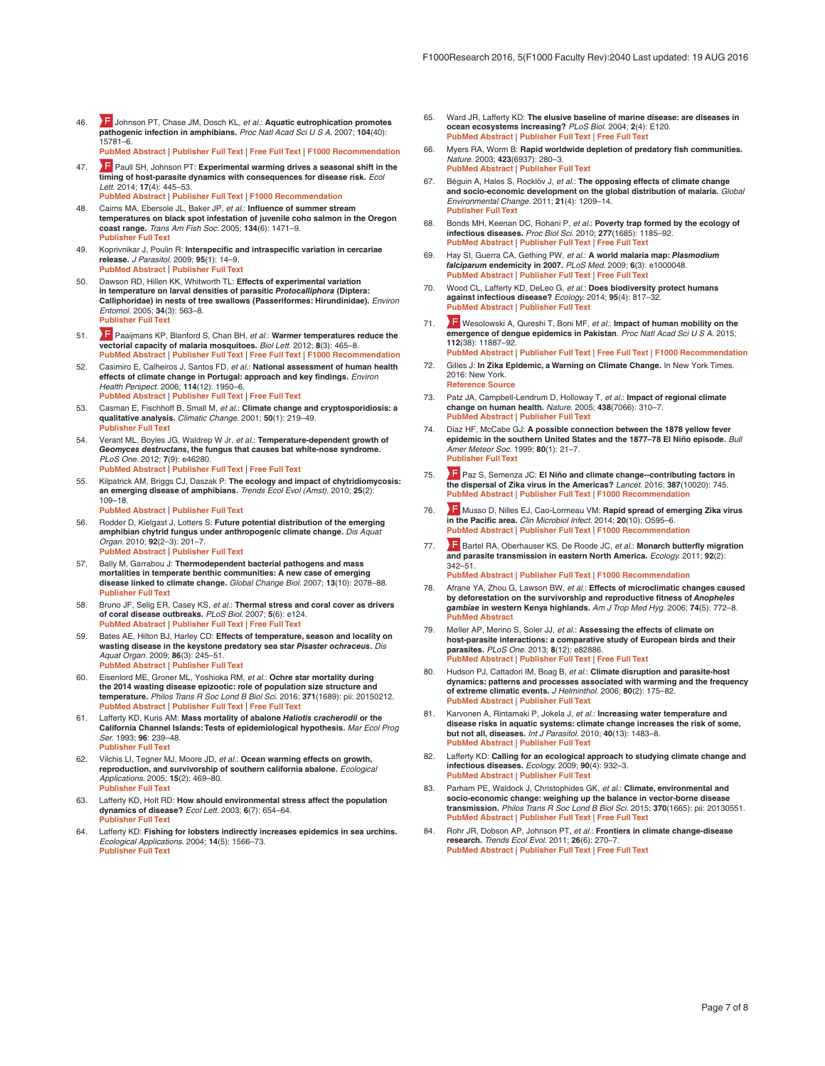- <span id="page-6-0"></span>46. [J](http://f1000.com/prime/1091992)ohnson PT, Chase JM, Dosch KL, *et al.*: **Aquatic eutrophication promotes pathogenic infection in amphibians.** *Proc Natl Acad Sci U S A.* 2007; **104**(40): 15781–6. **[PubMed Abstract](http://www.ncbi.nlm.nih.gov/pubmed/17893332)** | **[Publisher Full Text](http://dx.doi.org/10.1073/pnas.0707763104)** | **[Free Full Text](http://www.ncbi.nlm.nih.gov/pmc/articles/2000446)** | **[F1000 Recommendation](http://f1000.com/prime/1091992)**
- 47. **F** [P](http://f1000.com/prime/718354565)aull SH, Johnson PT: Experimental warming drives a seasonal shift in the **timing of host-parasite dynamics with consequences for disease risk.** *Ecol Lett.* 2014; **17**(4): 445–53. **[PubMed Abstract](http://www.ncbi.nlm.nih.gov/pubmed/24401007)** | **[Publisher Full Text](http://dx.doi.org/10.1111/ele.12244)** | **[F1000 Recommendation](http://f1000.com/prime/718354565)**
- 48. Cairns MA, Ebersole JL, Baker JP, *et al.*: **Influence of summer stream temperatures on black spot infestation of juvenile coho salmon in the Oregon coast range.** *Trans Am Fish Soc.* 2005; **134**(6): 1471–9. **[Publisher Full Text](http://dx.doi.org/10.1577/T04-151.1)**
- 49. Koprivnikar J, Poulin R: **Interspecific and intraspecific variation in cercariae release.** *J Parasitol.* 2009; **95**(1): 14–9. **[PubMed Abstract](http://www.ncbi.nlm.nih.gov/pubmed/19245275)** | **[Publisher Full Text](http://dx.doi.org/10.1645/GE-1582.1)**
- 50. Dawson RD, Hillen KK, Whitworth TL: **Effects of experimental variation in temperature on larval densities of parasitic** *Protocalliphora* **(Diptera: Calliphoridae) in nests of tree swallows (Passeriformes: Hirundinidae).** *Environ Entomol.* 2005; **34**(3): 563–8. **[Publisher Full Text](http://dx.doi.org/10.1603/0046-225X-34.3.563)**
- 51. [P](http://f1000.com/prime/720729889)aaijmans KP, Blanford S, Chan BH, *et al.*: **Warmer temperatures reduce the vectorial capacity of malaria mosquitoes.** *Biol Lett.* 2012; **8**(3): 465–8. **[PubMed Abstract](http://www.ncbi.nlm.nih.gov/pubmed/22188673)** | **[Publisher Full Text](http://dx.doi.org/10.1098/rsbl.2011.1075)** | **[Free Full Text](http://www.ncbi.nlm.nih.gov/pmc/articles/3367745)** | **[F1000 Recommendation](http://f1000.com/prime/720729889)**
- 52. Casimiro E, Calheiros J, Santos FD, *et al.*: **National assessment of human health effects of climate change in Portugal: approach and key findings.** *Environ Health Perspect.* 2006; **114**(12): 1950–6. **[PubMed Abstract](http://www.ncbi.nlm.nih.gov/pubmed/17185290)** | **[Publisher Full Text](http://dx.doi.org/10.1289/ehp.8431)** | **[Free Full Text](http://www.ncbi.nlm.nih.gov/pmc/articles/1764176)**
- 53. Casman E, Fischhoff B, Small M, *et al.*: **Climate change and cryptosporidiosis: a qualitative analysis.** *Climatic Change.* 2001; **50**(1): 219–49. **[Publisher Full Text](http://dx.doi.org/10.1023/A:1010623831501)**
- 54. Verant ML, Boyles JG, Waldrep W Jr, *et al.*: **Temperature-dependent growth of**  *Geomyces destructans***, the fungus that causes bat white-nose syndrome.** *PLoS One.* 2012; **7**(9): e46280. **[PubMed Abstract](http://www.ncbi.nlm.nih.gov/pubmed/23029462)** | **[Publisher Full Text](http://dx.doi.org/10.1371/journal.pone.0046280)** | **[Free Full Text](http://www.ncbi.nlm.nih.gov/pmc/articles/3460873)**
- 55. Kilpatrick AM, Briggs CJ, Daszak P: **The ecology and impact of chytridiomycosis: an emerging disease of amphibians.** *Trends Ecol Evol (Amst).* 2010; **25**(2): 109–18.
	- **[PubMed Abstract](http://www.ncbi.nlm.nih.gov/pubmed/19836101)** | **[Publisher Full Text](http://dx.doi.org/10.1016/j.tree.2009.07.011)**
- 56. Rodder D, Kielgast J, Lotters S: **Future potential distribution of the emerging amphibian chytrid fungus under anthropogenic climate change.** *Dis Aquat Organ.* 2010; **92**(2–3): 201–7. **[PubMed Abstract](http://www.ncbi.nlm.nih.gov/pubmed/21268982)** | **[Publisher Full Text](http://dx.doi.org/10.3354/dao02197)**
- 57. Bally M, Garrabou J: **Thermodependent bacterial pathogens and mass mortalities in temperate benthic communities: A new case of emerging disease linked to climate change.** *Global Change Biol.* 2007; **13**(10): 2078–88. **[Publisher Full Text](http://dx.doi.org/10.1111/j.1365-2486.2007.01423.x)**
- 58. Bruno JF, Selig ER, Casey KS, *et al.*: **Thermal stress and coral cover as drivers of coral disease outbreaks.** *PLoS Biol.* 2007; **5**(6): e124. **[PubMed Abstract](http://www.ncbi.nlm.nih.gov/pubmed/17488183)** | **[Publisher Full Text](http://dx.doi.org/10.1371/journal.pbio.0050124)** | **[Free Full Text](http://www.ncbi.nlm.nih.gov/pmc/articles/1865563)**
- 59. Bates AE, Hilton BJ, Harley CD: **Effects of temperature, season and locality on wasting disease in the keystone predatory sea star** *Pisaster ochraceus***.** *Dis Aquat Organ.* 2009; **86**(3): 245–51. **[PubMed Abstract](http://www.ncbi.nlm.nih.gov/pubmed/20066959)** | **[Publisher Full Text](http://dx.doi.org/10.3354/dao02125)**
- 60. Eisenlord ME, Groner ML, Yoshioka RM, *et al.*: **Ochre star mortality during the 2014 wasting disease epizootic: role of population size structure and temperature.** *Philos Trans R Soc Lond B Biol Sci.* 2016; **371**(1689): pii: 20150212. **[PubMed Abstract](http://www.ncbi.nlm.nih.gov/pubmed/26880844)** | **[Publisher Full Text](http://dx.doi.org/10.1098/rstb.2015.0212)** | **[Free Full Text](http://www.ncbi.nlm.nih.gov/pmc/articles/4760142)**
- 61. Lafferty KD, Kuris AM: **Mass mortality of abalone** *Haliotis cracherodii* **or the California Channel Islands: Tests of epidemiological hypothesis.** *Mar Ecol Prog Ser.* 1993; **96**: 239–48. **[Publisher Full Text](http://dx.doi.org/10.3354/meps096239)**
- 62. Vilchis LI, Tegner MJ, Moore JD, *et al.*: **Ocean warming effects on growth, reproduction, and survivorship of southern california abalone.** *Ecological Applications.* 2005; **15**(2): 469–80. **[Publisher Full Text](http://dx.doi.org/10.1890/03-5326)**
- 63. Lafferty KD, Holt RD: **How should environmental stress affect the population dynamics of disease?** *Ecol Lett.* 2003; **6**(7): 654–64. **[Publisher Full Text](http://dx.doi.org/10.1046/j.1461-0248.2003.00480.x)**
- 64. Lafferty KD: **Fishing for lobsters indirectly increases epidemics in sea urchins.** *Ecological Applications.* 2004; **14**(5): 1566–73. **[Publisher Full Text](http://dx.doi.org/10.1890/03-5088)**
- 65. Ward JR, Lafferty KD: **The elusive baseline of marine disease: are diseases in ocean ecosystems increasing?** *PLoS Biol.* 2004; **2**(4): E120. **[PubMed Abstract](http://www.ncbi.nlm.nih.gov/pubmed/15094816)** | **[Publisher Full Text](http://dx.doi.org/10.1371/journal.pbio.0020120)** | **[Free Full Text](http://www.ncbi.nlm.nih.gov/pmc/articles/387283)**
- 66. Myers RA, Worm B: **Rapid worldwide depletion of predatory fish communities.** *Nature.* 2003; **423**(6937): 280–3. **[PubMed Abstract](http://www.ncbi.nlm.nih.gov/pubmed/12748640)** | **[Publisher Full Text](http://dx.doi.org/10.1038/nature01610)**
- 67. Béguin A, Hales S, Rocklöv J, *et al.*: **The opposing effects of climate change and socio-economic development on the global distribution of malaria.** *Global Environmental Change.* 2011; **21**(4): 1209–14. **[Publisher Full Text](http://dx.doi.org/10.1016/j.gloenvcha.2011.06.001)**
- 68. Bonds MH, Keenan DC, Rohani P, *et al.*: **Poverty trap formed by the ecology of infectious diseases.** *Proc Biol Sci.* 2010; **277**(1685): 1185–92. **[PubMed Abstract](http://www.ncbi.nlm.nih.gov/pubmed/20007179)** | **[Publisher Full Text](http://dx.doi.org/10.1098/rspb.2009.1778)** | **[Free Full Text](http://www.ncbi.nlm.nih.gov/pmc/articles/2842808)**
- 69. Hay SI, Guerra CA, Gething PW, *et al.*: **A world malaria map:** *Plasmodium falciparum* **endemicity in 2007.** *PLoS Med.* 2009; **6**(3): e1000048. **[PubMed Abstract](http://www.ncbi.nlm.nih.gov/pubmed/19323591)** | **[Publisher Full Text](http://dx.doi.org/10.1371/journal.pmed.1000048)** | **[Free Full Text](http://www.ncbi.nlm.nih.gov/pmc/articles/2659708)**
- 70. Wood CL, Lafferty KD, DeLeo G, *et al.*: **Does biodiversity protect humans against infectious disease?** *Ecology.* 2014; **95**(4): 817–32. **[PubMed Abstract](http://www.ncbi.nlm.nih.gov/pubmed/24933803)** | **[Publisher Full Text](http://dx.doi.org/10.1890/13-1041.1)**
- 71. [W](http://f1000.com/prime/725777061)esolowski A, Qureshi T, Boni MF, *et al.*: **Impact of human mobility on the emergence of dengue epidemics in Pakistan**. *Proc Natl Acad Sci U S A.* 2015; **112**(38): 11887–92. **[PubMed Abstract](http://www.ncbi.nlm.nih.gov/pubmed/26351662)** | **[Publisher Full Text](http://dx.doi.org/10.1073/pnas.1504964112)** | **[Free Full Text](http://www.ncbi.nlm.nih.gov/pmc/articles/4586847)** | **[F1000 Recommendation](http://f1000.com/prime/725777061)**
- 72. Gilles J: **In Zika Epidemic, a Warning on Climate Change.** In New York Times. 2016: New York. **[Reference Source](http://www.nytimes.com/2016/02/21/world/americas/in-zika-epidemic-a-warning-on-climate-change.html?_r=0)**
- 73. Patz JA, Campbell-Lendrum D, Holloway T, *et al.*: **Impact of regional climate change on human health.** *Nature.* 2005; **438**(7066): 310–7. **[PubMed Abstract](http://www.ncbi.nlm.nih.gov/pubmed/16292302)** | **[Publisher Full Text](http://dx.doi.org/10.1038/nature04188)**
- 74. Diaz HF, McCabe GJ: **A possible connection between the 1878 yellow fever epidemic in the southern United States and the 1877–78 El Niño episode.** *Bull Amer Meteor Soc.* 1999; **80**(1): 21–7. **[Publisher Full Text](http://dx.doi.org/10.1175/1520-0477(1999)080<0021:APCBTY>2.0.CO;2)**
- 75. [P](http://f1000.com/prime/726161435)az S, Semenza JC: **El Niño and climate change--contributing factors in the dispersal of Zika virus in the Americas?** *Lancet.* 2016; **387**(10020): 745. **[PubMed Abstract](http://www.ncbi.nlm.nih.gov/pubmed/26850984)** | **[Publisher Full Text](http://dx.doi.org/10.1016/S0140-6736(16)00256-7)** | **[F1000 Recommendation](http://f1000.com/prime/726161435)**
- 76. **The [M](http://f1000.com/prime/718442726)usso D, Nilles EJ, Cao-Lormeau VM: Rapid spread of emerging Zika virus<br><b>in the Pacific area.** *Clin Microbiol Infect.* 2014; 20(10): O595–6. **[PubMed Abstract](http://www.ncbi.nlm.nih.gov/pubmed/24909208)** | **[Publisher Full Text](http://dx.doi.org/10.1111/1469-0691.12707)** | **[F1000 Recommendation](http://f1000.com/prime/718442726)**
- 77. **F** [B](http://f1000.com/prime/722854759)artel RA, Oberhauser KS, De Roode JC, *et al.*: Monarch butterfly migration **and parasite transmission in eastern North America.** *Ecology.* 2011; **92**(2): 342–51. **[PubMed Abstract](http://www.ncbi.nlm.nih.gov/pubmed/21618914) | [Publisher Full Text](http://dx.doi.org/10.1890/10-0489.1) | [F1000 Recommendation](http://f1000.com/prime/722854759)**
- 78. Afrane YA, Zhou G, Lawson BW, *et al.*: **Effects of microclimatic changes caused by deforestation on the survivorship and reproductive fitness of** *Anopheles gambiae* **in western Kenya highlands.** *Am J Trop Med Hyg.* 2006; **74**(5): 772–8. **[PubMed Abstract](http://www.ncbi.nlm.nih.gov/pubmed/16687679)**
- 79. Møller AP, Merino S, Soler JJ, *et al.*: **Assessing the effects of climate on host-parasite interactions: a comparative study of European birds and their parasites.** *PLoS One.* 2013; **8**(12): e82886. **[PubMed Abstract](http://www.ncbi.nlm.nih.gov/pubmed/24391725)** | **[Publisher Full Text](http://dx.doi.org/10.1371/journal.pone.0082886)** | **[Free Full Text](http://www.ncbi.nlm.nih.gov/pmc/articles/3876993)**
- 80. Hudson PJ, Cattadori IM, Boag B, *et al.*: **Climate disruption and parasite-host dynamics: patterns and processes associated with warming and the frequency of extreme climatic events.** *J Helminthol.* 2006; **80**(2): 175–82. **[PubMed Abstract](http://www.ncbi.nlm.nih.gov/pubmed/16768860)** | **[Publisher Full Text](http://dx.doi.org/10.1079/JOH2006357)**
- 81. Karvonen A, Rintamaki P, Jokela J, *et al.*: **Increasing water temperature and disease risks in aquatic systems: climate change increases the risk of some, but not all, diseases.** *Int J Parasitol.* 2010; **40**(13): 1483–8. **[PubMed Abstract](http://www.ncbi.nlm.nih.gov/pubmed/20580904)** | **[Publisher Full Text](http://dx.doi.org/10.1016/j.ijpara.2010.04.015)**
- 82. Lafferty KD: **Calling for an ecological approach to studying climate change and infectious diseases.** *Ecology.* 2009; **90**(4): 932–3. **[PubMed Abstract](http://www.ncbi.nlm.nih.gov/pubmed/19449688)** | **[Publisher Full Text](http://dx.doi.org/10.1890/08-1767.1)**
- 83. Parham PE, Waldock J, Christophides GK, *et al.*: **Climate, environmental and socio-economic change: weighing up the balance in vector-borne disease transmission.** *Philos Trans R Soc Lond B Biol Sci.* 2015; **370**(1665): pii: 20130551. **[PubMed Abstract](http://www.ncbi.nlm.nih.gov/pubmed/25688012)** | **[Publisher Full Text](http://dx.doi.org/10.1098/rstb.2013.0551)** | **[Free Full Text](http://www.ncbi.nlm.nih.gov/pmc/articles/4342957)**
- 84. Rohr JR, Dobson AP, Johnson PT, *et al.*: **Frontiers in climate change-disease research.** *Trends Ecol Evol.* 2011; **26**(6): 270–7. **[PubMed Abstract](http://www.ncbi.nlm.nih.gov/pubmed/21481487)** | **[Publisher Full Text](http://dx.doi.org/10.1016/j.tree.2011.03.002)** | **[Free Full Text](http://www.ncbi.nlm.nih.gov/pmc/articles/3374867)**